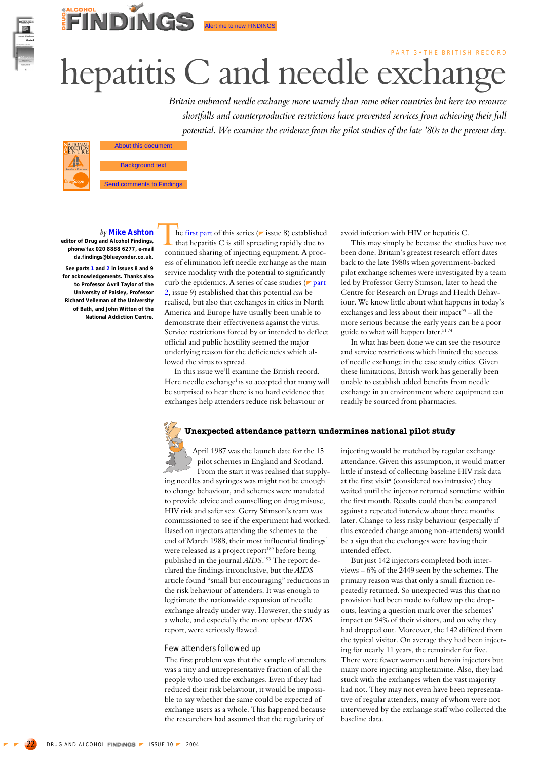

# PART 3 • THE BRITISH RECORD hepatitis C and needle exchange

*Britain embraced needle exchange more warmly than some other countries but here too resource shortfalls and counterproductive restrictions have prevented services from achieving their full potential. We examine the evidence from the pilot studies of the late '80s to the present day.*



Background text<br>
Background text<br>
Background to Findings © Dr<mark>ug and Alcohoh Finding</mark>s 2004

FINDINGS

#### *by* **Mike Ashton editor of Drug and Alcohol Findings,**

**phone/fax 020 8888 6277, e-mail da.findings@blueyonder.co.uk. See parts 1 and 2 in issues 8 and 9 for acknowledgements. Thanks also**

**to Professor Avril Taylor of the University of Paisley, Professor Richard Velleman of the University of Bath, and John Witton of the National Addiction Centre.**

he first part of this series ( $\triangleright$  issue 8) established that hepatitis C is still spreading rapidly due to continued sharing of injecting equipment. A process of elimination left needle exchange as the main service modality with the potential to significantly curb the epidemics. A series of case studies  $($  part 2, issue 9) established that this potential *can* be realised, but also that exchanges in cities in North America and Europe have usually been unable to demonstrate their effectiveness against the virus. Service restrictions forced by or intended to deflect official and public hostility seemed the major underlying reason for the deficiencies which allowed the virus to spread. Th<br>Tu<sub>t</sub>l

Alert me to new FINDINGS

In this issue we'll examine the British record. Here needle exchange<sup>i</sup> is so accepted that many will be surprised to hear there is no hard evidence that exchanges help attenders reduce risk behaviour or

avoid infection with HIV or hepatitis C.

This may simply be because the studies have not been done. Britain's greatest research effort dates back to the late 1980s when government-backed pilot exchange schemes were investigated by a team led by Professor Gerry Stimson, later to head the Centre for Research on Drugs and Health Behaviour. We know little about what happens in today's exchanges and less about their impact<sup>99</sup> – all the more serious because the early years can be a poor guide to what will happen later.<sup>5174</sup>

In what has been done we can see the resource and service restrictions which limited the success of needle exchange in the case study cities. Given these limitations, British work has generally been unable to establish added benefits from needle exchange in an environment where equipment can readily be sourced from pharmacies.

# **Unexpected attendance pattern undermines national pilot study**

April 1987 was the launch date for the 15 pilot schemes in England and Scotland. From the start it was realised that supplying needles and syringes was might not be enough to change behaviour, and schemes were mandated to provide advice and counselling on drug misuse, HIV risk and safer sex. Gerry Stimson's team was commissioned to see if the experiment had worked. Based on injectors attending the schemes to the end of March 1988, their most influential findings<sup>1</sup> were released as a project report<sup>189</sup> before being published in the journal *AIDS*. 193 The report declared the findings inconclusive, but the *AIDS* article found "small but encouraging" reductions in the risk behaviour of attenders. It was enough to legitimate the nationwide expansion of needle exchange already under way. However, the study as a whole, and especially the more upbeat *AIDS* report, were seriously flawed.

#### Few attenders followed up

The first problem was that the sample of attenders was a tiny and unrepresentative fraction of all the people who used the exchanges. Even if they had reduced their risk behaviour, it would be impossible to say whether the same could be expected of exchange users as a whole. This happened because the researchers had assumed that the regularity of

injecting would be matched by regular exchange attendance. Given this assumption, it would matter little if instead of collecting baseline HIV risk data at the first visit<sup>ii</sup> (considered too intrusive) they waited until the injector returned sometime within the first month. Results could then be compared against a repeated interview about three months later. Change to less risky behaviour (especially if this exceeded change among non-attenders) would be a sign that the exchanges were having their intended effect.

But just 142 injectors completed both interviews – 6% of the 2449 seen by the schemes. The primary reason was that only a small fraction repeatedly returned. So unexpected was this that no provision had been made to follow up the dropouts, leaving a question mark over the schemes' impact on 94% of their visitors, and on why they had dropped out. Moreover, the 142 differed from the typical visitor. On average they had been injecting for nearly 11 years, the remainder for five. There were fewer women and heroin injectors but many more injecting amphetamine. Also, they had stuck with the exchanges when the vast majority had not. They may not even have been representative of regular attenders, many of whom were not interviewed by the exchange staff who collected the baseline data.

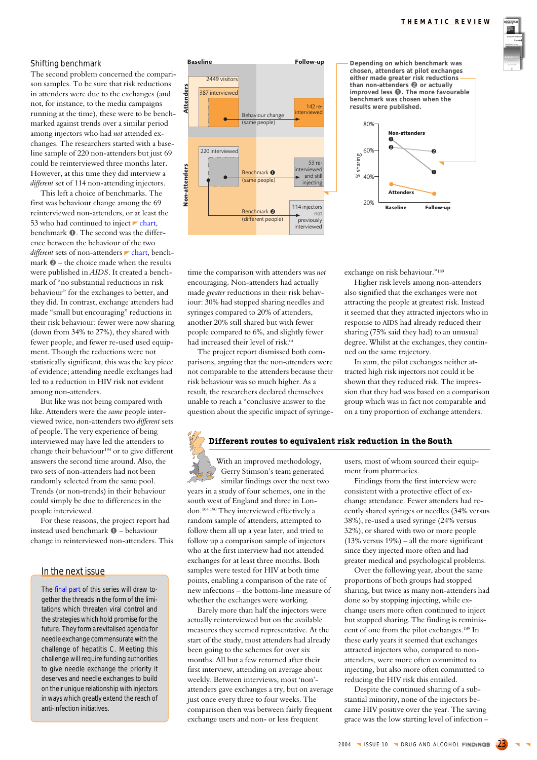

## Shifting benchmark

The second problem concerned the comparison samples. To be sure that risk reductions in attenders were due to the exchanges (and not, for instance, to the media campaigns running at the time), these were to be benchmarked against trends over a similar period among injectors who had *not* attended exchanges. The researchers started with a baseline sample of 220 non-attenders but just 69 could be reinterviewed three months later. However, at this time they did interview a *different* set of 114 non-attending injectors.

This left a choice of benchmarks. The first was behaviour change among the 69 reinterviewed non-attenders, or at least the 53 who had continued to inject  $\blacktriangleright$  chart, benchmark  $\bullet$ . The second was the difference between the behaviour of the two *different* sets of non-attenders *chart*, benchmark  $\odot$  – the choice made when the results were published in *AIDS*. It created a benchmark of "no substantial reductions in risk behaviour" for the exchanges to better, and they did. In contrast, exchange attenders had made "small but encouraging" reductions in their risk behaviour: fewer were now sharing (down from 34% to 27%), they shared with fewer people, and fewer re-used used equipment. Though the reductions were not statistically significant, this was the key piece of evidence; attending needle exchanges had led to a reduction in HIV risk not evident among non-attenders.

But like was not being compared with like. Attenders were the *same* people interviewed twice, non-attenders two *different* sets of people. The very experience of being interviewed may have led the attenders to change their behaviour<sup>194</sup> or to give different answers the second time around. Also, the two sets of non-attenders had not been randomly selected from the same pool. Trends (or non-trends) in their behaviour could simply be due to differences in the people interviewed.

For these reasons, the project report had instead used benchmark  $\bullet$  – behaviour change in reinterviewed non-attenders. This

# In the next issue

The final part of this series will draw together the threads in the form of the limitations which threaten viral control and the strategies which hold promise for the future. They form a revitalised agenda for needle exchange commensurate with the challenge of hepatitis C. Meeting this challenge will require funding authorities to give needle exchange the priority it deserves and needle exchanges to build on their unique relationship with injectors in ways which greatly extend the reach of anti-infection initiatives.



time the comparison with attenders was *not* encouraging. Non-attenders had actually made *greater* reductions in their risk behaviour: 30% had stopped sharing needles and syringes compared to 20% of attenders, another 20% still shared but with fewer people compared to 6%, and slightly fewer had increased their level of risk.iii

The project report dismissed both comparisons, arguing that the non-attenders were not comparable to the attenders because their risk behaviour was so much higher. As a result, the researchers declared themselves unable to reach a "conclusive answer to the question about the specific impact of syringe-

**Depending on which benchmark was chosen, attenders at pilot exchanges either made greater risk reductions than non-attenders @** or actually **individually C c contains**<br> **improved less <b>0**. The more favourable<br>
benchmark was chosen when the **results were published.**



exchange on risk behaviour."189

Higher risk levels among non-attenders also signified that the exchanges were not attracting the people at greatest risk. Instead it seemed that they attracted injectors who in response to AIDS had already reduced their sharing (75% said they had) to an unusual degree. Whilst at the exchanges, they continued on the same trajectory.

In sum, the pilot exchanges neither attracted high risk injectors not could it be shown that they reduced risk. The impression that they had was based on a comparison group which was in fact not comparable and on a tiny proportion of exchange attenders.

# **Different routes to equivalent risk reduction in the South**

With an improved methodology, Gerry Stimson's team generated similar findings over the next two years in a study of four schemes, one in the south west of England and three in London.104 190 They interviewed effectively a random sample of attenders, attempted to follow them all up a year later, and tried to follow up a comparison sample of injectors who at the first interview had not attended exchanges for at least three months. Both samples were tested for HIV at both time points, enabling a comparison of the rate of new infections – the bottom-line measure of whether the exchanges were working.

Barely more than half the injectors were actually reinterviewed but on the available measures they seemed representative. At the start of the study, most attenders had already been going to the schemes for over six months. All but a few returned after their first interview, attending on average about weekly. Between interviews, most 'non' attenders gave exchanges a try, but on average just once every three to four weeks. The comparison then was between fairly frequent exchange users and non- or less frequent

users, most of whom sourced their equipment from pharmacies.

Findings from the first interview were consistent with a protective effect of exchange attendance. Fewer attenders had recently shared syringes or needles (34% versus 38%), re-used a used syringe (24% versus 32%), or shared with two or more people (13% versus 19%) – all the more significant since they injected more often and had greater medical and psychological problems.

Over the following year, about the same proportions of both groups had stopped sharing, but twice as many non-attenders had done so by stopping injecting, while exchange users more often continued to inject but stopped sharing. The finding is reminiscent of one from the pilot exchanges.189 In these early years it seemed that exchanges attracted injectors who, compared to nonattenders, were more often committed to injecting, but also more often committed to reducing the HIV risk this entailed.

Despite the continued sharing of a substantial minority, none of the injectors became HIV positive over the year. The saving grace was the low starting level of infection –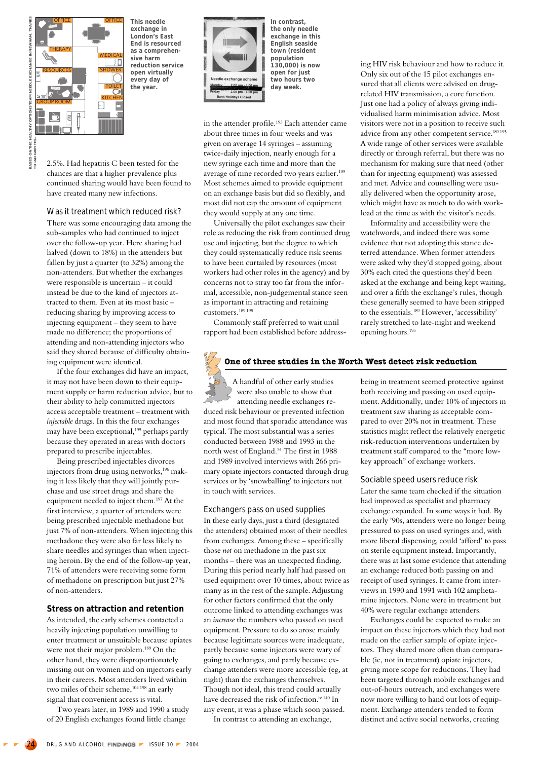

**This needle exchange in London's East End is resourced as a comprehensive harm reduction service open virtually every day of the year.**

2.5%. Had hepatitis C been tested for the chances are that a higher prevalence plus continued sharing would have been found to have created many new infections.

#### Was it treatment which reduced risk?

There was some encouraging data among the sub-samples who had continued to inject over the follow-up year. Here sharing had halved (down to 18%) in the attenders but fallen by just a quarter (to 32%) among the non-attenders. But whether the exchanges were responsible is uncertain – it could instead be due to the kind of injectors attracted to them. Even at its most basic – reducing sharing by improving access to injecting equipment – they seem to have made no difference; the proportions of attending and non-attending injectors who said they shared because of difficulty obtaining equipment were identical.

If the four exchanges did have an impact, it may not have been down to their equipment supply or harm reduction advice, but to their ability to help committed injectors access acceptable treatment – treatment with *injectable* drugs. In this the four exchanges may have been exceptional,<sup>195</sup> perhaps partly because they operated in areas with doctors prepared to prescribe injectables.

Being prescribed injectables divorces injectors from drug using networks,<sup>196</sup> making it less likely that they will jointly purchase and use street drugs and share the equipment needed to inject them.197 At the first interview, a quarter of attenders were being prescribed injectable methadone but just 7% of non-attenders. When injecting this methadone they were also far less likely to share needles and syringes than when injecting heroin. By the end of the follow-up year, 71% of attenders were receiving some form of methadone on prescription but just 27% of non-attenders.

## **Stress on attraction and retention**

As intended, the early schemes contacted a heavily injecting population unwilling to enter treatment or unsuitable because opiates were not their major problem.<sup>189</sup> On the other hand, they were disproportionately missing out on women and on injectors early in their careers. Most attenders lived within two miles of their scheme,<sup>104 198</sup> an early signal that convenient access is vital.

Two years later, in 1989 and 1990 a study of 20 English exchanges found little change



**In contrast, the only needle exchange in this English seaside town (resident population 130,000) is now open for just two hours two day week.**

in the attender profile.<sup>195</sup> Each attender came about three times in four weeks and was given on average 14 syringes – assuming twice-daily injection, nearly enough for a new syringe each time and more than the average of nine recorded two years earlier.<sup>189</sup> Most schemes aimed to provide equipment on an exchange basis but did so flexibly, and most did not cap the amount of equipment they would supply at any one time.

Universally the pilot exchanges saw their role as reducing the risk from continued drug use and injecting, but the degree to which they could systematically reduce risk seems to have been curtailed by resources (most workers had other roles in the agency) and by concerns not to stray too far from the informal, accessible, non-judgemental stance seen as important in attracting and retaining customers.189 195

Commonly staff preferred to wait until rapport had been established before addressing HIV risk behaviour and how to reduce it. Only six out of the 15 pilot exchanges ensured that all clients were advised on drugrelated HIV transmission, a core function. Just one had a policy of always giving individualised harm minimisation advice. Most visitors were not in a position to receive such advice from any other competent service.189 195 A wide range of other services were available directly or through referral, but there was no mechanism for making sure that need (other than for injecting equipment) was assessed and met. Advice and counselling were usually delivered when the opportunity arose, which might have as much to do with workload at the time as with the visitor's needs.

Informality and accessibility were the watchwords, and indeed there was some evidence that not adopting this stance deterred attendance. When former attenders were asked why they'd stopped going, about 30% each cited the questions they'd been asked at the exchange and being kept waiting, and over a fifth the exchange's rules, though these generally seemed to have been stripped to the essentials.189 However, 'accessibility' rarely stretched to late-night and weekend opening hours.195

# **One of three studies in the North West detect risk reduction**

A handful of other early studies were also unable to show that attending needle exchanges reduced risk behaviour or prevented infection and most found that sporadic attendance was typical. The most substantial was a series conducted between 1988 and 1993 in the north west of England.74 The first in 1988 and 1989 involved interviews with 266 primary opiate injectors contacted through drug services or by 'snowballing' to injectors not in touch with services.

#### Exchangers pass on used supplies

In these early days, just a third (designated the attenders) obtained most of their needles from exchanges. Among these – specifically those *not* on methadone in the past six months – there was an unexpected finding. During this period nearly half had passed on used equipment over 10 times, about twice as many as in the rest of the sample. Adjusting for other factors confirmed that the only outcome linked to attending exchanges was an *increase* the numbers who passed on used equipment. Pressure to do so arose mainly because legitimate sources were inadequate, partly because some injectors were wary of going to exchanges, and partly because exchange attenders were more accessible (eg, at night) than the exchanges themselves. Though not ideal, this trend could actually have decreased the risk of infection.<sup>iv 140</sup> In any event, it was a phase which soon passed.

In contrast to attending an exchange,

being in treatment seemed protective against both receiving and passing on used equipment. Additionally, under 10% of injectors in treatment saw sharing as acceptable compared to over 20% not in treatment. These statistics might reflect the relatively energetic risk-reduction interventions undertaken by treatment staff compared to the "more lowkey approach" of exchange workers.

Sociable speed users reduce risk Later the same team checked if the situation had improved as specialist and pharmacy exchange expanded. In some ways it had. By the early '90s, attenders were no longer being pressured to pass on used syringes and, with more liberal dispensing, could 'afford' to pass on sterile equipment instead. Importantly, there was at last some evidence that attending an exchange reduced both passing on and receipt of used syringes. It came from interviews in 1990 and 1991 with 102 amphetamine injectors. None were in treatment but 40% were regular exchange attenders.

Exchanges could be expected to make an impact on these injectors which they had not made on the earlier sample of opiate injectors. They shared more often than comparable (ie, not in treatment) opiate injectors, giving more scope for reductions. They had been targeted through mobile exchanges and out-of-hours outreach, and exchanges were now more willing to hand out lots of equipment. Exchange attenders tended to form distinct and active social networks, creating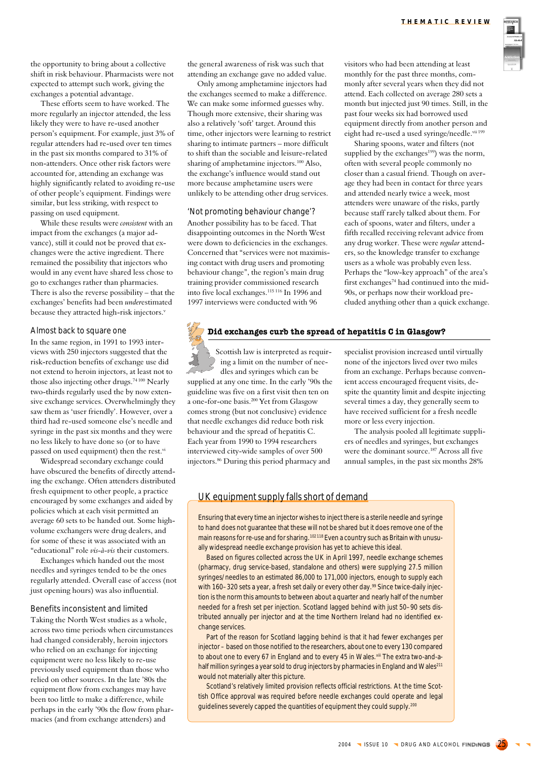

the opportunity to bring about a collective shift in risk behaviour. Pharmacists were not expected to attempt such work, giving the exchanges a potential advantage.

These efforts seem to have worked. The more regularly an injector attended, the less likely they were to have re-used another person's equipment. For example, just 3% of regular attenders had re-used over ten times in the past six months compared to 31% of non-attenders. Once other risk factors were accounted for, attending an exchange was highly significantly related to avoiding re-use of other people's equipment. Findings were similar, but less striking, with respect to passing on used equipment.

While these results were *consistent* with an impact from the exchanges (a major advance), still it could not be proved that exchanges were the active ingredient. There remained the possibility that injectors who would in any event have shared less chose to go to exchanges rather than pharmacies. There is also the reverse possibility – that the exchanges' benefits had been *under*estimated because they attracted high-risk injectors.<sup>v</sup>

#### Almost back to square one

In the same region, in 1991 to 1993 interviews with 250 injectors suggested that the risk-reduction benefits of exchange use did not extend to heroin injectors, at least not to those also injecting other drugs.<sup>74 100</sup> Nearly two-thirds regularly used the by now extensive exchange services. Overwhelmingly they saw them as 'user friendly'. However, over a third had re-used someone else's needle and syringe in the past six months and they were no less likely to have done so (or to have passed on used equipment) then the rest.vi

Widespread secondary exchange could have obscured the benefits of directly attending the exchange. Often attenders distributed fresh equipment to other people, a practice encouraged by some exchanges and aided by policies which at each visit permitted an average 60 sets to be handed out. Some highvolume exchangers were drug dealers, and for some of these it was associated with an "educational" role *vis-à-vis* their customers.

Exchanges which handed out the most needles and syringes tended to be the ones regularly attended. Overall ease of access (not just opening hours) was also influential.

#### Benefits inconsistent and limited

Taking the North West studies as a whole, across two time periods when circumstances had changed considerably, heroin injectors who relied on an exchange for injecting equipment were no less likely to re-use previously used equipment than those who relied on other sources. In the late '80s the equipment flow from exchanges may have been too little to make a difference, while perhaps in the early '90s the flow from pharmacies (and from exchange attenders) and

the general awareness of risk was such that attending an exchange gave no added value.

Only among amphetamine injectors had the exchanges seemed to make a difference. We can make some informed guesses why. Though more extensive, their sharing was also a relatively 'soft' target. Around this time, other injectors were learning to restrict sharing to intimate partners – more difficult to shift than the sociable and leisure-related sharing of amphetamine injectors.<sup>100</sup> Also, the exchange's influence would stand out more because amphetamine users were unlikely to be attending other drug services.

'Not promoting behaviour change'? Another possibility has to be faced. That disappointing outcomes in the North West were down to deficiencies in the exchanges. Concerned that "services were not maximising contact with drug users and promoting behaviour change", the region's main drug training provider commissioned research into five local exchanges.115 116 In 1996 and 1997 interviews were conducted with 96

visitors who had been attending at least monthly for the past three months, commonly after several years when they did not attend. Each collected on average 280 sets a month but injected just 90 times. Still, in the past four weeks six had borrowed used equipment directly from another person and eight had re-used a used syringe/needle.vii 199

Sharing spoons, water and filters (not supplied by the exchanges<sup>199</sup>) was the norm, often with several people commonly no closer than a casual friend. Though on average they had been in contact for three years and attended nearly twice a week, most attenders were unaware of the risks, partly because staff rarely talked about them. For each of spoons, water and filters, under a fifth recalled receiving relevant advice from any drug worker. These were *regular* attenders, so the knowledge transfer to exchange users as a whole was probably even less. Perhaps the "low-key approach" of the area's first exchanges74 had continued into the mid-90s, or perhaps now their workload precluded anything other than a quick exchange.

# **Did exchanges curb the spread of hepatitis C in Glasgow?**

Scottish law is interpreted as requir-) ing a limit on the number of needles and syringes which can be supplied at any one time. In the early '90s the guideline was five on a first visit then ten on a one-for-one basis.200 Yet from Glasgow comes strong (but not conclusive) evidence that needle exchanges did reduce both risk behaviour and the spread of hepatitis C. Each year from 1990 to 1994 researchers interviewed city-wide samples of over 500 injectors.86 During this period pharmacy and

specialist provision increased until virtually none of the injectors lived over two miles from an exchange. Perhaps because convenient access encouraged frequent visits, despite the quantity limit and despite injecting several times a day, they generally seem to have received sufficient for a fresh needle more or less every injection.

The analysis pooled all legitimate suppliers of needles and syringes, but exchanges were the dominant source.187 Across all five annual samples, in the past six months 28%

# UK equipment supply falls short of demand

Ensuring that every time an injector wishes to inject there is a sterile needle and syringe to hand does not guarantee that these will not be shared but it does remove one of the main reasons for re-use and for sharing.<sup>102118</sup> Even a country such as Britain with unusually widespread needle exchange provision has yet to achieve this ideal.

Based on figures collected across the UK in April 1997, needle exchange schemes (pharmacy, drug service-based, standalone and others) were supplying 27.5 million syringes/needles to an estimated 86,000 to 171,000 injectors, enough to supply each with 160–320 sets a year, a fresh set daily or every other day.<sup>99</sup> Since twice-daily injection is the norm this amounts to between about a quarter and nearly half of the number needed for a fresh set per injection. Scotland lagged behind with just 50–90 sets distributed annually per injector and at the time Northern Ireland had no identified exchange services.

Part of the reason for Scotland lagging behind is that it had fewer exchanges per injector – based on those notified to the researchers, about one to every 130 compared to about one to every 67 in England and to every 45 in Wales. xill The extra two-and-ahalf million syringes a year sold to drug injectors by pharmacies in England and Wales<sup>211</sup> would not materially alter this picture.

Scotland's relatively limited provision reflects official restrictions. At the time Scottish Office approval was required before needle exchanges could operate and legal guidelines severely capped the quantities of equipment they could supply.<sup>200</sup>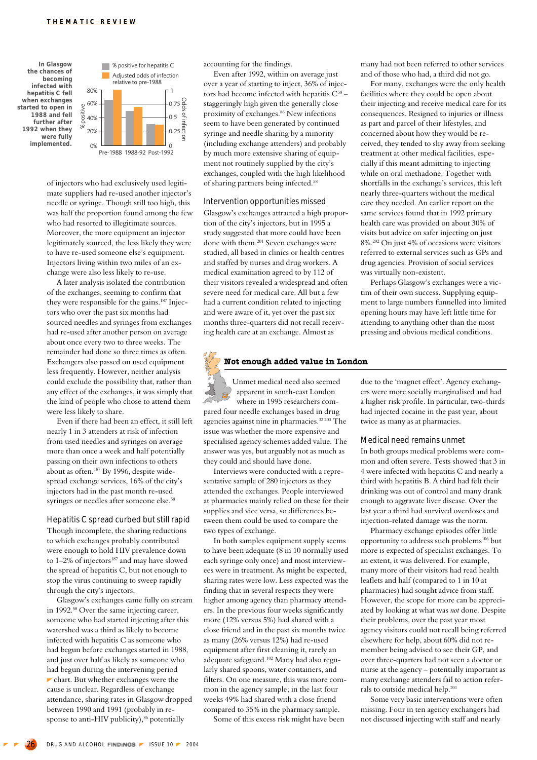

of injectors who had exclusively used legitimate suppliers had re-used another injector's needle or syringe. Though still too high, this was half the proportion found among the few who had resorted to illegitimate sources. Moreover, the more equipment an injector legitimately sourced, the less likely they were to have re-used someone else's equipment. Injectors living within two miles of an exchange were also less likely to re-use.

A later analysis isolated the contribution of the exchanges, seeming to confirm that they were responsible for the gains.187 Injectors who over the past six months had sourced needles and syringes from exchanges had re-used after another person on average about once every two to three weeks. The remainder had done so three times as often. Exchangers also passed on used equipment less frequently. However, neither analysis could exclude the possibility that, rather than any effect of the exchanges, it was simply that the kind of people who chose to attend them were less likely to share.

Even if there had been an effect, it still left nearly 1 in 3 attenders at risk of infection from used needles and syringes on average more than once a week and half potentially passing on their own infections to others about as often.187 By 1996, despite widespread exchange services, 16% of the city's injectors had in the past month re-used syringes or needles after someone else.<sup>58</sup>

#### Hepatitis C spread curbed but still rapid

Though incomplete, the sharing reductions to which exchanges probably contributed were enough to hold HIV prevalence down to  $1-2\%$  of injectors<sup>187</sup> and may have slowed the spread of hepatitis C, but not enough to stop the virus continuing to sweep rapidly through the city's injectors.

Glasgow's exchanges came fully on stream in 1992.58 Over the same injecting career, someone who had started injecting after this watershed was a third as likely to become infected with hepatitis C as someone who had begun before exchanges started in 1988, and just over half as likely as someone who had begun during the intervening period  $\blacktriangleright$  chart. But whether exchanges were the cause is unclear. Regardless of exchange attendance, sharing rates in Glasgow dropped between 1990 and 1991 (probably in response to anti-HIV publicity),<sup>86</sup> potentially

accounting for the findings.

Even after 1992, within on average just over a year of starting to inject, 36% of injectors had become infected with hepatitis  $C^{58}$  staggeringly high given the generally close proximity of exchanges.<sup>86</sup> New infections seem to have been generated by continued syringe and needle sharing by a minority (including exchange attenders) and probably by much more extensive sharing of equipment not routinely supplied by the city's exchanges, coupled with the high likelihood of sharing partners being infected.58

Intervention opportunities missed Glasgow's exchanges attracted a high proportion of the city's injectors, but in 1995 a study suggested that more could have been done with them.201 Seven exchanges were studied, all based in clinics or health centres and staffed by nurses and drug workers. A medical examination agreed to by 112 of their visitors revealed a widespread and often severe need for medical care. All but a few had a current condition related to injecting and were aware of it, yet over the past six months three-quarters did not recall receiving health care at an exchange. Almost as

# **Not enough added value in London**

Unmet medical need also seemed apparent in south-east London where in 1995 researchers compared four needle exchanges based in drug agencies against nine in pharmacies.32 203 The issue was whether the more expensive and specialised agency schemes added value. The answer was yes, but arguably not as much as they could and should have done.

Interviews were conducted with a representative sample of 280 injectors as they attended the exchanges. People interviewed at pharmacies mainly relied on these for their supplies and vice versa, so differences between them could be used to compare the two types of exchange.

In both samples equipment supply seems to have been adequate (8 in 10 normally used each syringe only once) and most interviewees were in treatment. As might be expected, sharing rates were low. Less expected was the finding that in several respects they were higher among agency than pharmacy attenders. In the previous four weeks significantly more (12% versus 5%) had shared with a close friend and in the past six months twice as many (26% versus 12%) had re-used equipment after first cleaning it, rarely an adequate safeguard.102 Many had also regularly shared spoons, water containers, and filters. On one measure, this was more common in the agency sample; in the last four weeks 49% had shared with a close friend compared to 35% in the pharmacy sample.

Some of this excess risk might have been

many had not been referred to other services and of those who had, a third did not go.

For many, exchanges were the only health facilities where they could be open about their injecting and receive medical care for its consequences. Resigned to injuries or illness as part and parcel of their lifestyles, and concerned about how they would be received, they tended to shy away from seeking treatment at other medical facilities, especially if this meant admitting to injecting while on oral methadone. Together with shortfalls in the exchange's services, this left nearly three-quarters without the medical care they needed. An earlier report on the same services found that in 1992 primary health care was provided on about 30% of visits but advice on safer injecting on just 8%.202 On just 4% of occasions were visitors referred to external services such as GPs and drug agencies. Provision of social services was virtually non-existent.

Perhaps Glasgow's exchanges were a victim of their own success. Supplying equipment to large numbers funnelled into limited opening hours may have left little time for attending to anything other than the most pressing and obvious medical conditions.

due to the 'magnet effect'. Agency exchangers were more socially marginalised and had a higher risk profile. In particular, two-thirds had injected cocaine in the past year, about twice as many as at pharmacies.

#### Medical need remains unmet

In both groups medical problems were common and often severe. Tests showed that 3 in 4 were infected with hepatitis C and nearly a third with hepatitis B. A third had felt their drinking was out of control and many drank enough to aggravate liver disease. Over the last year a third had survived overdoses and injection-related damage was the norm.

Pharmacy exchange episodes offer little opportunity to address such problems106 but more is expected of specialist exchanges. To an extent, it was delivered. For example, many more of their visitors had read health leaflets and half (compared to 1 in 10 at pharmacies) had sought advice from staff. However, the scope for more can be appreciated by looking at what was *not* done. Despite their problems, over the past year most agency visitors could not recall being referred elsewhere for help, about 60% did not remember being advised to see their GP, and over three-quarters had not seen a doctor or nurse at the agency – potentially important as many exchange attenders fail to action referrals to outside medical help.201

Some very basic interventions were often missing. Four in ten agency exchangers had not discussed injecting with staff and nearly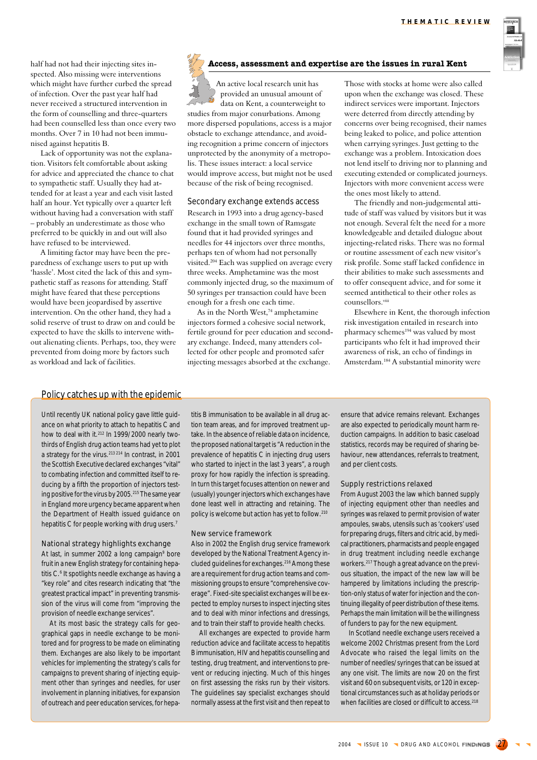half had not had their injecting sites inspected. Also missing were interventions which might have further curbed the spread of infection. Over the past year half had never received a structured intervention in the form of counselling and three-quarters had been counselled less than once every two months. Over 7 in 10 had not been immunised against hepatitis B.

Lack of opportunity was not the explanation. Visitors felt comfortable about asking for advice and appreciated the chance to chat to sympathetic staff. Usually they had attended for at least a year and each visit lasted half an hour. Yet typically over a quarter left without having had a conversation with staff – probably an underestimate as those who preferred to be quickly in and out will also have refused to be interviewed.

A limiting factor may have been the preparedness of exchange users to put up with 'hassle'. Most cited the lack of this and sympathetic staff as reasons for attending. Staff might have feared that these perceptions would have been jeopardised by assertive intervention. On the other hand, they had a solid reserve of trust to draw on and could be expected to have the skills to intervene without alienating clients. Perhaps, too, they were prevented from doing more by factors such as workload and lack of facilities.

# **Access, assessment and expertise are the issues in rural Kent**

An active local research unit has provided an unusual amount of data on Kent, a counterweight to studies from major conurbations. Among more dispersed populations, access is a major obstacle to exchange attendance, and avoiding recognition a prime concern of injectors unprotected by the anonymity of a metropolis. These issues interact: a local service would improve access, but might not be used because of the risk of being recognised.

Secondary exchange extends access Research in 1993 into a drug agency-based exchange in the small town of Ramsgate found that it had provided syringes and needles for 44 injectors over three months, perhaps ten of whom had not personally visited.204 Each was supplied on average every three weeks. Amphetamine was the most commonly injected drug, so the maximum of 50 syringes per transaction could have been enough for a fresh one each time.

As in the North West,<sup>74</sup> amphetamine injectors formed a cohesive social network, fertile ground for peer education and secondary exchange. Indeed, many attenders collected for other people and promoted safer injecting messages absorbed at the exchange.

Those with stocks at home were also called upon when the exchange was closed. These indirect services were important. Injectors were deterred from directly attending by concerns over being recognised, their names being leaked to police, and police attention when carrying syringes. Just getting to the exchange was a problem. Intoxication does not lend itself to driving nor to planning and executing extended or complicated journeys. Injectors with more convenient access were the ones most likely to attend.

The friendly and non-judgemental attitude of staff was valued by visitors but it was not enough. Several felt the need for a more knowledgeable and detailed dialogue about injecting-related risks. There was no formal or routine assessment of each new visitor's risk profile. Some staff lacked confidence in their abilities to make such assessments and to offer consequent advice, and for some it seemed antithetical to their other roles as counsellors.viii

Elsewhere in Kent, the thorough infection risk investigation entailed in research into pharmacy schemes<sup>194</sup> was valued by most participants who felt it had improved their awareness of risk, an echo of findings in Amsterdam.184 A substantial minority were

## Policy catches up with the epidemic

Until recently UK national policy gave little guidance on what priority to attach to hepatitis C and how to deal with it.<sup>212</sup> In 1999/2000 nearly twothirds of English drug action teams had yet to plot a strategy for the virus.213 214 In contrast, in 2001 the Scottish Executive declared exchanges "vital" to combating infection and committed itself to reducing by a fifth the proportion of injectors testing positive for the virus by 2005.<sup>215</sup> The same year in England more urgency became apparent when the Department of Health issued guidance on hepatitis C for people working with drug users.<sup>7</sup>

#### National strategy highlights exchange

At last, in summer 2002 a long campaign<sup>9</sup> bore fruit in a new English strategy for containing hepatitis C.6 It spotlights needle exchange as having a "key role" and cites research indicating that "the greatest practical impact" in preventing transmission of the virus will come from "improving the provision of needle exchange services".

At its most basic the strategy calls for geographical gaps in needle exchange to be monitored and for progress to be made on eliminating them. Exchanges are also likely to be important vehicles for implementing the strategy's calls for campaigns to prevent sharing of injecting equipment other than syringes and needles, for user involvement in planning initiatives, for expansion of outreach and peer education services, for hepa-

titis B immunisation to be available in all drug action team areas, and for improved treatment uptake. In the absence of reliable data on incidence, the proposed national target is "A reduction in the prevalence of hepatitis C in injecting drug users who started to inject in the last 3 years", a rough proxy for how rapidly the infection is spreading. In turn this target focuses attention on newer and (usually) younger injectors which exchanges have done least well in attracting and retaining. The policy is welcome but action has yet to follow.210

#### New service framework

Also in 2002 the English drug service framework developed by the National Treatment Agency included guidelines for exchanges.216 Among these are a requirement for drug action teams and commissioning groups to ensure "comprehensive coverage". Fixed-site specialist exchanges will be expected to employ nurses to inspect injecting sites and to deal with minor infections and dressings, and to train their staff to provide health checks.

All exchanges are expected to provide harm reduction advice and facilitate access to hepatitis B immunisation, HIV and hepatitis counselling and testing, drug treatment, and interventions to prevent or reducing injecting. Much of this hinges on first assessing the risks run by their visitors. The guidelines say specialist exchanges should normally assess at the first visit and then repeat to ensure that advice remains relevant. Exchanges are also expected to periodically mount harm reduction campaigns. In addition to basic caseload statistics, records may be required of sharing behaviour, new attendances, referrals to treatment, and per client costs.

#### Supply restrictions relaxed

From August 2003 the law which banned supply of injecting equipment other than needles and syringes was relaxed to permit provision of water ampoules, swabs, utensils such as 'cookers' used for preparing drugs, filters and citric acid, by medical practitioners, pharmacists and people engaged in drug treatment including needle exchange workers.217 Though a great advance on the previous situation, the impact of the new law will be hampered by limitations including the prescription-only status of water for injection and the continuing illegality of peer distribution of these items. Perhaps the main limitation will be the willingness of funders to pay for the new equipment.

In Scotland needle exchange users received a welcome 2002 Christmas present from the Lord Advocate who raised the legal limits on the number of needles/syringes that can be issued at any one visit. The limits are now 20 on the first visit and 60 on subsequent visits, or 120 in exceptional circumstances such as at holiday periods or when facilities are closed or difficult to access.<sup>218</sup>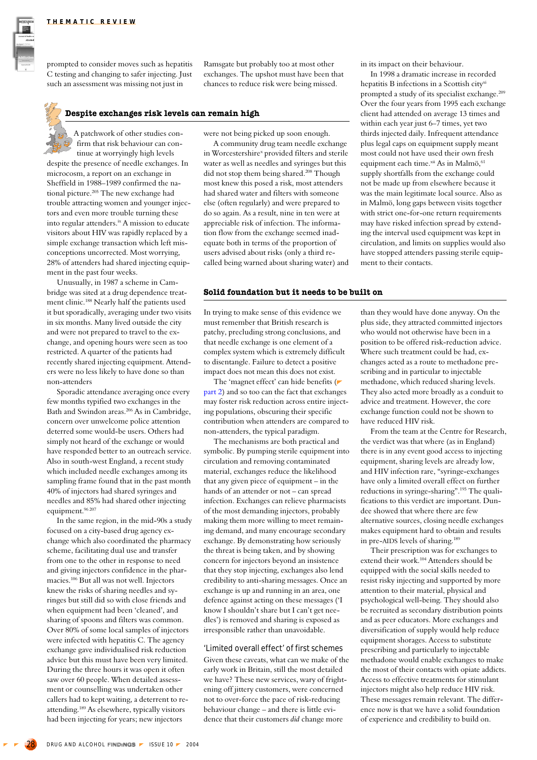

prompted to consider moves such as hepatitis C testing and changing to safer injecting. Just such an assessment was missing not just in

Ramsgate but probably too at most other exchanges. The upshot must have been that chances to reduce risk were being missed.

## **Despite exchanges risk levels can remain high**

A patchwork of other studies confirm that risk behaviour can continue at worryingly high levels

despite the presence of needle exchanges. In microcosm, a report on an exchange in Sheffield in 1988–1989 confirmed the national picture.205 The new exchange had trouble attracting women and younger injectors and even more trouble turning these into regular attenders.ix A mission to educate visitors about HIV was rapidly replaced by a simple exchange transaction which left misconceptions uncorrected. Most worrying, 28% of attenders had shared injecting equipment in the past four weeks.

Unusually, in 1987 a scheme in Cambridge was sited at a drug dependence treatment clinic.188 Nearly half the patients used it but sporadically, averaging under two visits in six months. Many lived outside the city and were not prepared to travel to the exchange, and opening hours were seen as too restricted. A quarter of the patients had recently shared injecting equipment. Attenders were no less likely to have done so than non-attenders

Sporadic attendance averaging once every few months typified two exchanges in the Bath and Swindon areas.206 As in Cambridge, concern over unwelcome police attention deterred some would-be users. Others had simply not heard of the exchange or would have responded better to an outreach service. Also in south-west England, a recent study which included needle exchanges among its sampling frame found that in the past month 40% of injectors had shared syringes and needles and 85% had shared other injecting equipment.<sup>96 207</sup>

In the same region, in the mid-90s a study focused on a city-based drug agency exchange which also coordinated the pharmacy scheme, facilitating dual use and transfer from one to the other in response to need and giving injectors confidence in the pharmacies.106 But all was not well. Injectors knew the risks of sharing needles and syringes but still did so with close friends and when equipment had been 'cleaned', and sharing of spoons and filters was common. Over 80% of some local samples of injectors were infected with hepatitis C. The agency exchange gave individualised risk reduction advice but this must have been very limited. During the three hours it was open it often saw over 60 people. When detailed assessment or counselling was undertaken other callers had to kept waiting, a deterrent to reattending.189 As elsewhere, typically visitors had been injecting for years; new injectors

were not being picked up soon enough.

A community drug team needle exchange in Worcestershire<sup>x</sup> provided filters and sterile water as well as needles and syringes but this did not stop them being shared.<sup>208</sup> Though most knew this posed a risk, most attenders had shared water and filters with someone else (often regularly) and were prepared to do so again. As a result, nine in ten were at appreciable risk of infection. The information flow from the exchange seemed inadequate both in terms of the proportion of users advised about risks (only a third recalled being warned about sharing water) and

#### **Solid foundation but it needs to be built on**

In trying to make sense of this evidence we must remember that British research is patchy, precluding strong conclusions, and that needle exchange is one element of a complex system which is extremely difficult to disentangle. Failure to detect a positive impact does not mean this does not exist.

The 'magnet effect' can hide benefits ( part 2) and so too can the fact that exchanges may foster risk reduction across entire injecting populations, obscuring their specific contribution when attenders are compared to non-attenders, the typical paradigm.

The mechanisms are both practical and symbolic. By pumping sterile equipment into circulation and removing contaminated material, exchanges reduce the likelihood that any given piece of equipment – in the hands of an attender or not – can spread infection. Exchanges can relieve pharmacists of the most demanding injectors, probably making them more willing to meet remaining demand, and many encourage secondary exchange. By demonstrating how seriously the threat is being taken, and by showing concern for injectors beyond an insistence that they stop injecting, exchanges also lend credibility to anti-sharing messages. Once an exchange is up and running in an area, one defence against acting on these messages ('I know I shouldn't share but I can't get needles') is removed and sharing is exposed as irresponsible rather than unavoidable.

'Limited overall effect' of first schemes Given these caveats, what can we make of the early work in Britain, still the most detailed we have? These new services, wary of frightening off jittery customers, were concerned not to over-force the pace of risk-reducing behaviour change – and there is little evidence that their customers *did* change more

in its impact on their behaviour.

In 1998 a dramatic increase in recorded hepatitis B infections in a Scottish cityxi prompted a study of its specialist exchange.209 Over the four years from 1995 each exchange client had attended on average 13 times and within each year just 6–7 times, yet two thirds injected daily. Infrequent attendance plus legal caps on equipment supply meant most could not have used their own fresh equipment each time.xii As in Malmö,<sup>61</sup> supply shortfalls from the exchange could not be made up from elsewhere because it was the main legitimate local source. Also as in Malmö, long gaps between visits together with strict one-for-one return requirements may have risked infection spread by extending the interval used equipment was kept in circulation, and limits on supplies would also have stopped attenders passing sterile equipment to their contacts.

than they would have done anyway. On the plus side, they attracted committed injectors who would not otherwise have been in a position to be offered risk-reduction advice. Where such treatment could be had, exchanges acted as a route to methadone prescribing and in particular to injectable methadone, which reduced sharing levels. They also acted more broadly as a conduit to advice and treatment. However, the core exchange function could not be shown to have reduced HIV risk.

From the team at the Centre for Research, the verdict was that where (as in England) there is in any event good access to injecting equipment, sharing levels are already low, and HIV infection rare, "syringe-exchanges have only a limited overall effect on further reductions in syringe-sharing".195 The qualifications to this verdict are important. Dundee showed that where there are few alternative sources, closing needle exchanges makes equipment hard to obtain and results in pre-AIDS levels of sharing.189

Their prescription was for exchanges to extend their work.104 Attenders should be equipped with the social skills needed to resist risky injecting and supported by more attention to their material, physical and psychological well-being. They should also be recruited as secondary distribution points and as peer educators. More exchanges and diversification of supply would help reduce equipment shorages. Access to substitute prescribing and particularly to injectable methadone would enable exchanges to make the most of their contacts with opiate addicts. Access to effective treatments for stimulant injectors might also help reduce HIV risk. These messages remain relevant. The difference now is that we have a solid foundation of experience and credibility to build on.